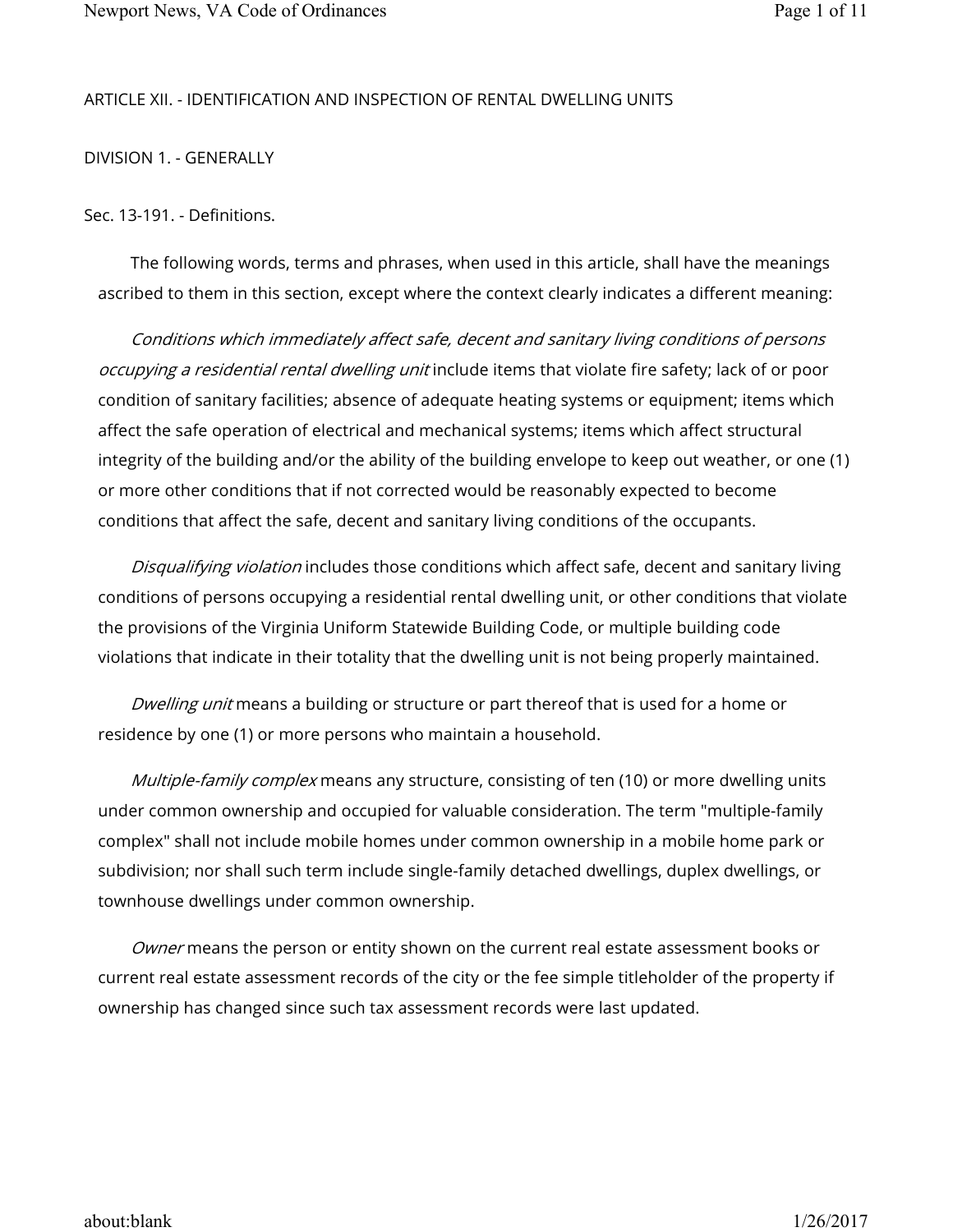## ARTICLE XII. - IDENTIFICATION AND INSPECTION OF RENTAL DWELLING UNITS

DIVISION 1. - GENERALLY

Sec. 13-191. - Definitions.

The following words, terms and phrases, when used in this article, shall have the meanings ascribed to them in this section, except where the context clearly indicates a different meaning:

Conditions which immediately affect safe, decent and sanitary living conditions of persons occupying a residential rental dwelling unit include items that violate fire safety; lack of or poor condition of sanitary facilities; absence of adequate heating systems or equipment; items which affect the safe operation of electrical and mechanical systems; items which affect structural integrity of the building and/or the ability of the building envelope to keep out weather, or one (1) or more other conditions that if not corrected would be reasonably expected to become conditions that affect the safe, decent and sanitary living conditions of the occupants.

Disqualifying violation includes those conditions which affect safe, decent and sanitary living conditions of persons occupying a residential rental dwelling unit, or other conditions that violate the provisions of the Virginia Uniform Statewide Building Code, or multiple building code violations that indicate in their totality that the dwelling unit is not being properly maintained.

Dwelling unit means a building or structure or part thereof that is used for a home or residence by one (1) or more persons who maintain a household.

Multiple-family complex means any structure, consisting of ten (10) or more dwelling units under common ownership and occupied for valuable consideration. The term "multiple-family complex" shall not include mobile homes under common ownership in a mobile home park or subdivision; nor shall such term include single-family detached dwellings, duplex dwellings, or townhouse dwellings under common ownership.

Owner means the person or entity shown on the current real estate assessment books or current real estate assessment records of the city or the fee simple titleholder of the property if ownership has changed since such tax assessment records were last updated.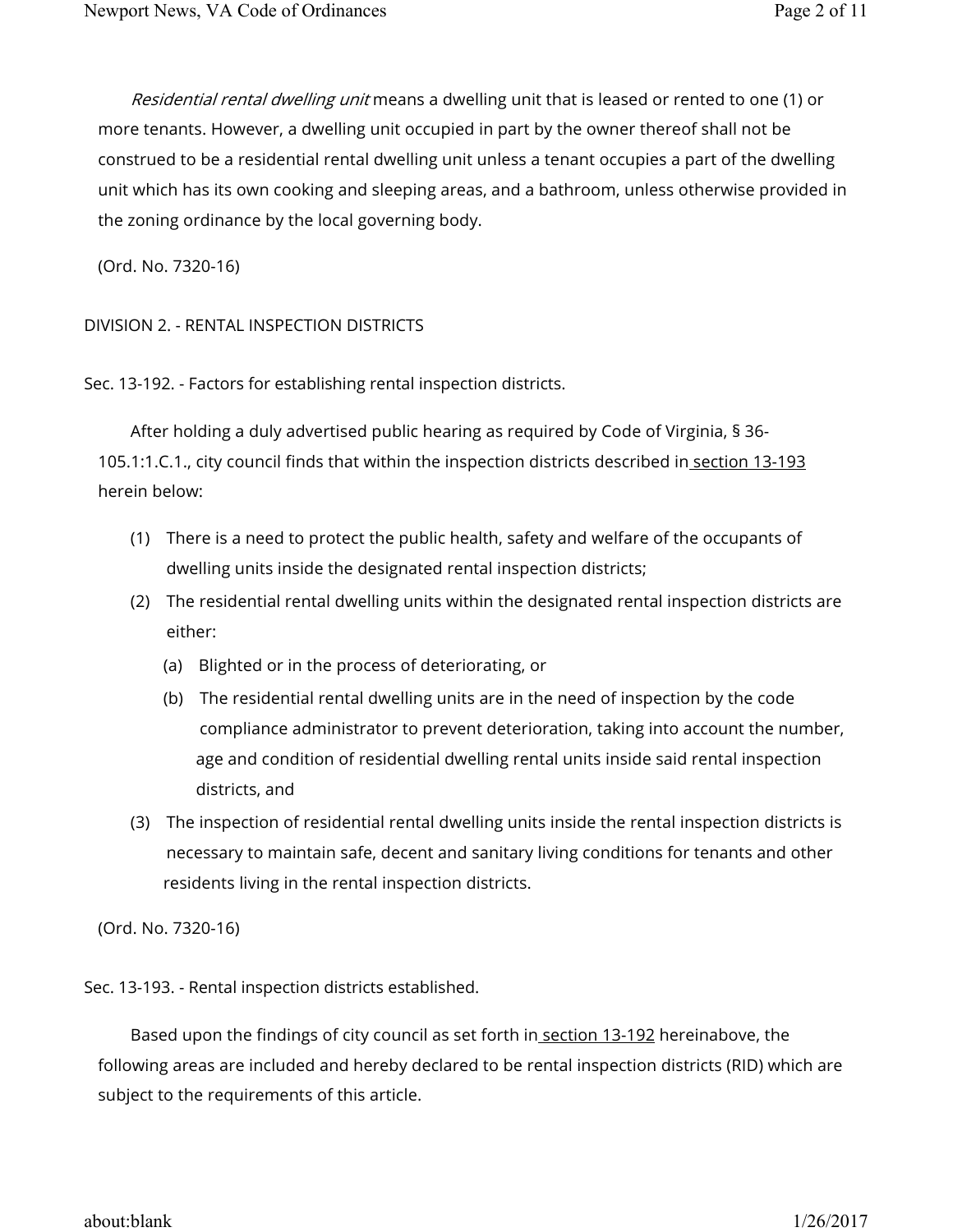Residential rental dwelling unit means a dwelling unit that is leased or rented to one (1) or more tenants. However, a dwelling unit occupied in part by the owner thereof shall not be construed to be a residential rental dwelling unit unless a tenant occupies a part of the dwelling unit which has its own cooking and sleeping areas, and a bathroom, unless otherwise provided in the zoning ordinance by the local governing body.

(Ord. No. 7320-16)

DIVISION 2. - RENTAL INSPECTION DISTRICTS

Sec. 13-192. - Factors for establishing rental inspection districts.

After holding a duly advertised public hearing as required by Code of Virginia, § 36- 105.1:1.C.1., city council finds that within the inspection districts described in section 13-193 herein below:

- (1) There is a need to protect the public health, safety and welfare of the occupants of dwelling units inside the designated rental inspection districts;
- (2) The residential rental dwelling units within the designated rental inspection districts are either:
	- (a) Blighted or in the process of deteriorating, or
	- (b) The residential rental dwelling units are in the need of inspection by the code compliance administrator to prevent deterioration, taking into account the number, age and condition of residential dwelling rental units inside said rental inspection districts, and
- (3) The inspection of residential rental dwelling units inside the rental inspection districts is necessary to maintain safe, decent and sanitary living conditions for tenants and other residents living in the rental inspection districts.

(Ord. No. 7320-16)

Sec. 13-193. - Rental inspection districts established.

Based upon the findings of city council as set forth in section 13-192 hereinabove, the following areas are included and hereby declared to be rental inspection districts (RID) which are subject to the requirements of this article.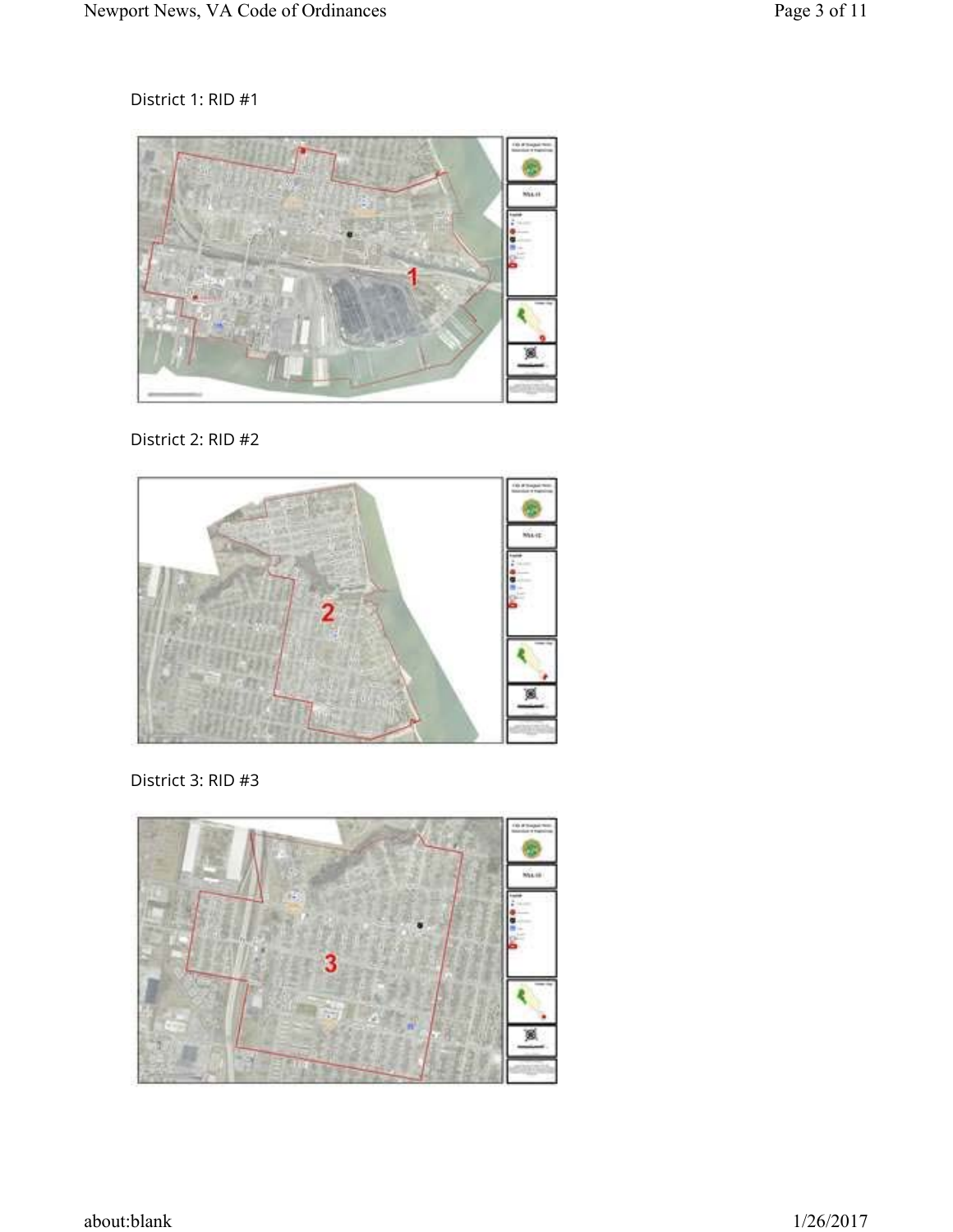District 1: RID #1



District 2: RID #2



District 3: RID #3

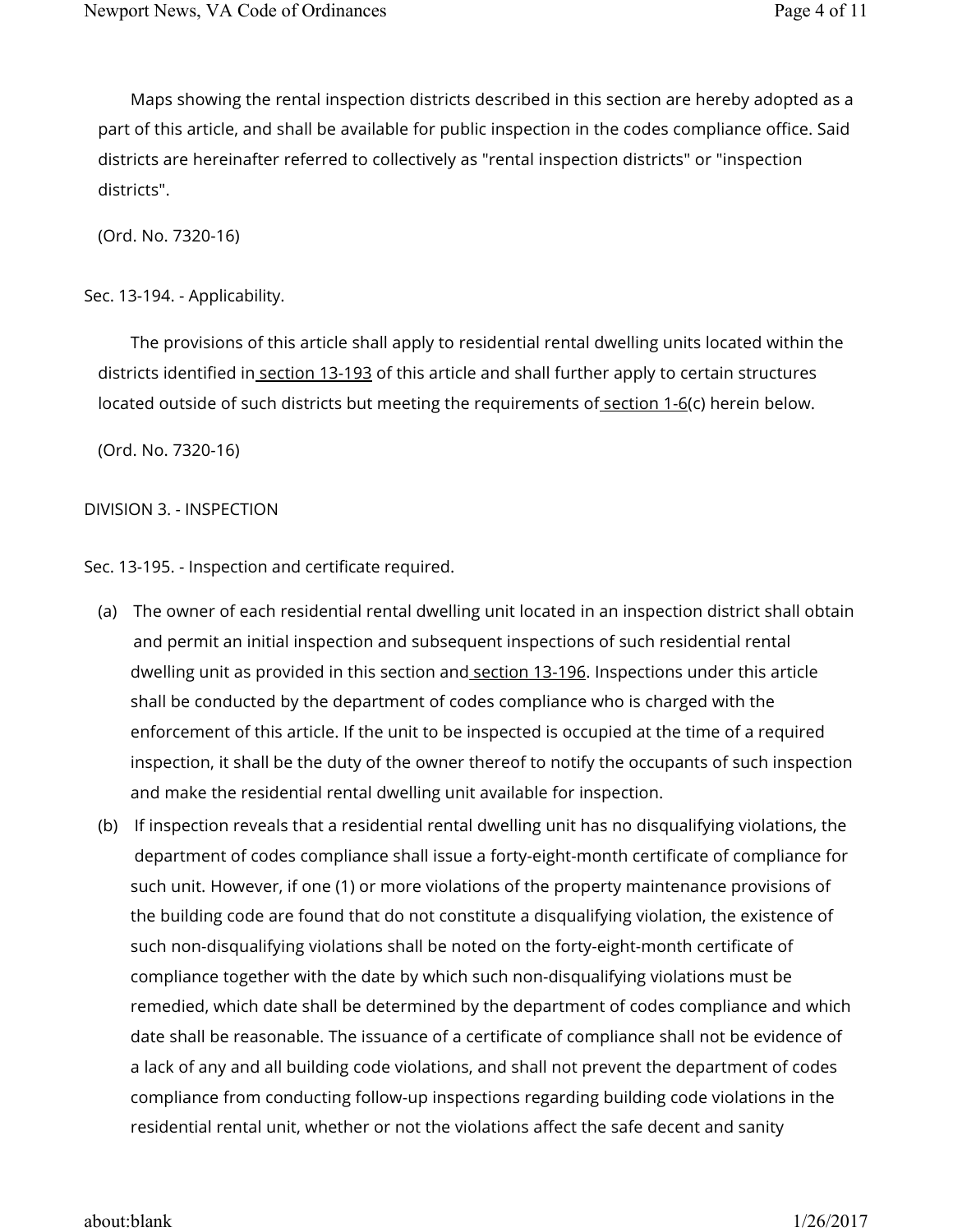Maps showing the rental inspection districts described in this section are hereby adopted as a part of this article, and shall be available for public inspection in the codes compliance office. Said districts are hereinafter referred to collectively as "rental inspection districts" or "inspection districts".

(Ord. No. 7320-16)

Sec. 13-194. - Applicability.

The provisions of this article shall apply to residential rental dwelling units located within the districts identified in section 13-193 of this article and shall further apply to certain structures located outside of such districts but meeting the requirements of section 1-6(c) herein below.

(Ord. No. 7320-16)

## DIVISION 3. - INSPECTION

Sec. 13-195. - Inspection and certificate required.

- (a) The owner of each residential rental dwelling unit located in an inspection district shall obtain and permit an initial inspection and subsequent inspections of such residential rental dwelling unit as provided in this section and section 13-196. Inspections under this article shall be conducted by the department of codes compliance who is charged with the enforcement of this article. If the unit to be inspected is occupied at the time of a required inspection, it shall be the duty of the owner thereof to notify the occupants of such inspection and make the residential rental dwelling unit available for inspection.
- (b) If inspection reveals that a residential rental dwelling unit has no disqualifying violations, the department of codes compliance shall issue a forty-eight-month certificate of compliance for such unit. However, if one (1) or more violations of the property maintenance provisions of the building code are found that do not constitute a disqualifying violation, the existence of such non-disqualifying violations shall be noted on the forty-eight-month certificate of compliance together with the date by which such non-disqualifying violations must be remedied, which date shall be determined by the department of codes compliance and which date shall be reasonable. The issuance of a certificate of compliance shall not be evidence of a lack of any and all building code violations, and shall not prevent the department of codes compliance from conducting follow-up inspections regarding building code violations in the residential rental unit, whether or not the violations affect the safe decent and sanity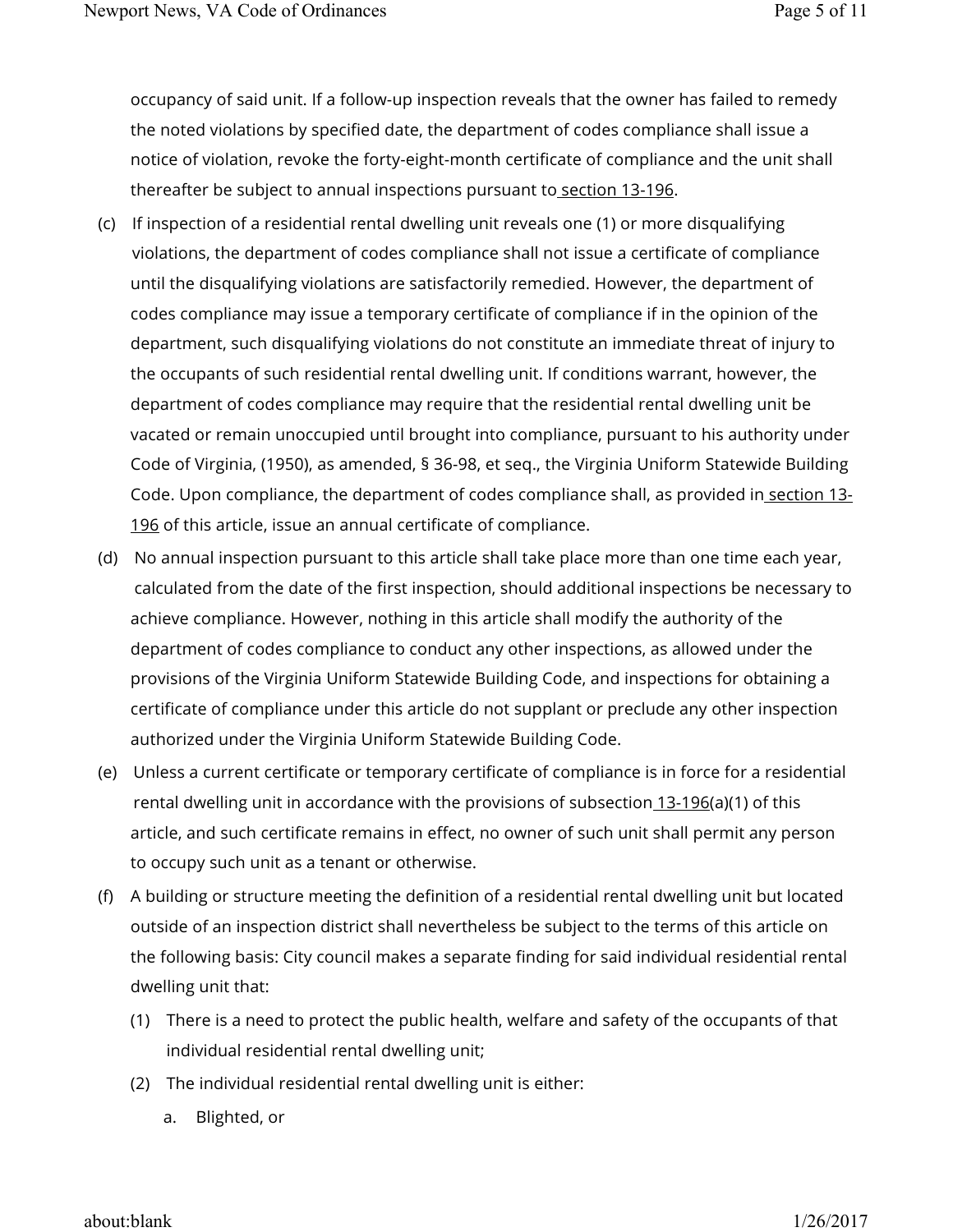occupancy of said unit. If a follow-up inspection reveals that the owner has failed to remedy the noted violations by specified date, the department of codes compliance shall issue a notice of violation, revoke the forty-eight-month certificate of compliance and the unit shall thereafter be subject to annual inspections pursuant to section 13-196.

- (c) If inspection of a residential rental dwelling unit reveals one (1) or more disqualifying violations, the department of codes compliance shall not issue a certificate of compliance until the disqualifying violations are satisfactorily remedied. However, the department of codes compliance may issue a temporary certificate of compliance if in the opinion of the department, such disqualifying violations do not constitute an immediate threat of injury to the occupants of such residential rental dwelling unit. If conditions warrant, however, the department of codes compliance may require that the residential rental dwelling unit be vacated or remain unoccupied until brought into compliance, pursuant to his authority under Code of Virginia, (1950), as amended, § 36-98, et seq., the Virginia Uniform Statewide Building Code. Upon compliance, the department of codes compliance shall, as provided in section 13-196 of this article, issue an annual certificate of compliance.
- (d) No annual inspection pursuant to this article shall take place more than one time each year, calculated from the date of the first inspection, should additional inspections be necessary to achieve compliance. However, nothing in this article shall modify the authority of the department of codes compliance to conduct any other inspections, as allowed under the provisions of the Virginia Uniform Statewide Building Code, and inspections for obtaining a certificate of compliance under this article do not supplant or preclude any other inspection authorized under the Virginia Uniform Statewide Building Code.
- (e) Unless a current certificate or temporary certificate of compliance is in force for a residential rental dwelling unit in accordance with the provisions of subsection 13-196(a)(1) of this article, and such certificate remains in effect, no owner of such unit shall permit any person to occupy such unit as a tenant or otherwise.
- (f) A building or structure meeting the definition of a residential rental dwelling unit but located outside of an inspection district shall nevertheless be subject to the terms of this article on the following basis: City council makes a separate finding for said individual residential rental dwelling unit that:
	- (1) There is a need to protect the public health, welfare and safety of the occupants of that individual residential rental dwelling unit;
	- (2) The individual residential rental dwelling unit is either:
		- a. Blighted, or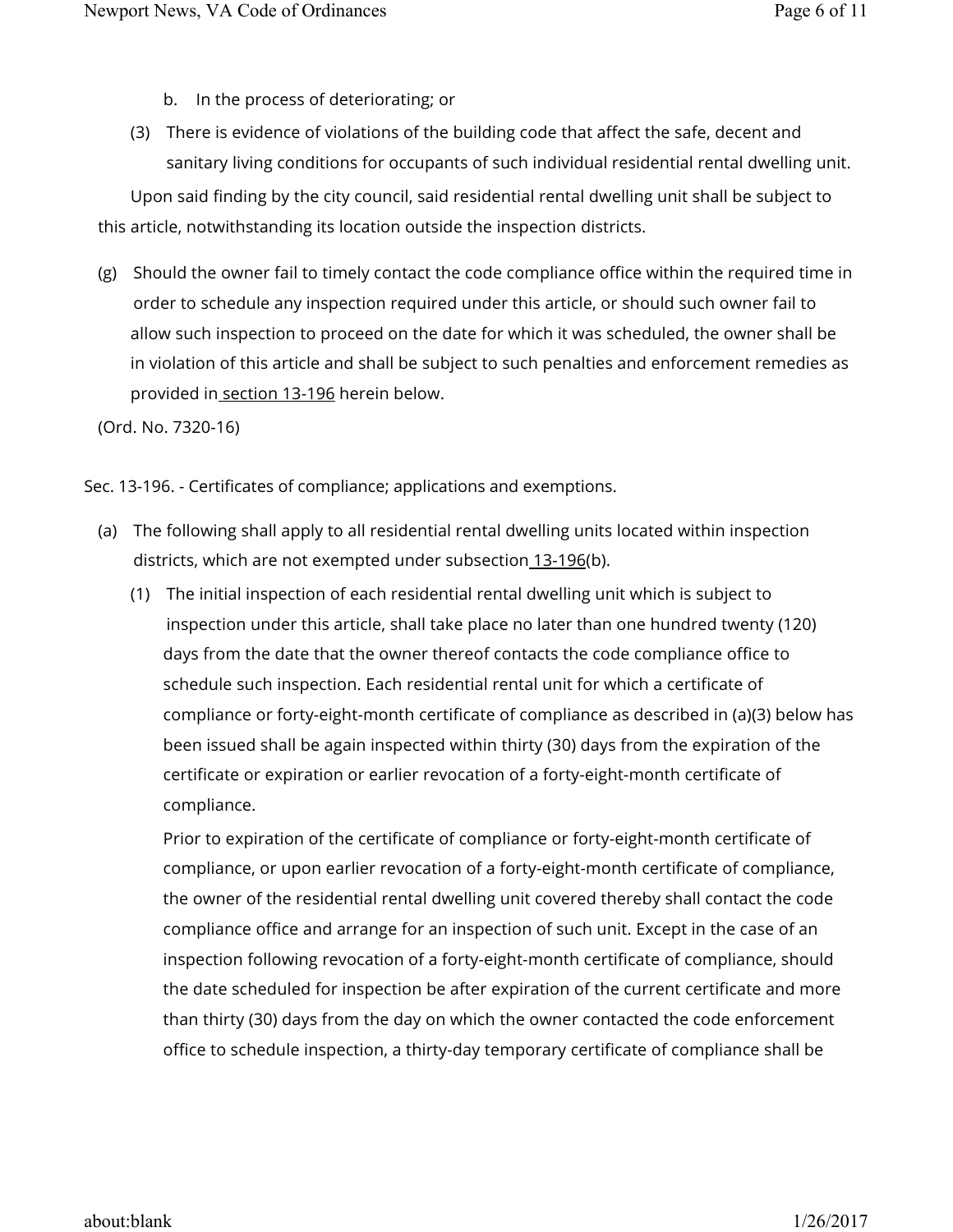- b. In the process of deteriorating; or
- (3) There is evidence of violations of the building code that affect the safe, decent and sanitary living conditions for occupants of such individual residential rental dwelling unit. Upon said finding by the city council, said residential rental dwelling unit shall be subject to this article, notwithstanding its location outside the inspection districts.
- (g) Should the owner fail to timely contact the code compliance office within the required time in order to schedule any inspection required under this article, or should such owner fail to allow such inspection to proceed on the date for which it was scheduled, the owner shall be in violation of this article and shall be subject to such penalties and enforcement remedies as provided in section 13-196 herein below.

(Ord. No. 7320-16)

Sec. 13-196. - Certificates of compliance; applications and exemptions.

- (a) The following shall apply to all residential rental dwelling units located within inspection districts, which are not exempted under subsection 13-196(b).
	- (1) The initial inspection of each residential rental dwelling unit which is subject to inspection under this article, shall take place no later than one hundred twenty (120) days from the date that the owner thereof contacts the code compliance office to schedule such inspection. Each residential rental unit for which a certificate of compliance or forty-eight-month certificate of compliance as described in (a)(3) below has been issued shall be again inspected within thirty (30) days from the expiration of the certificate or expiration or earlier revocation of a forty-eight-month certificate of compliance.

Prior to expiration of the certificate of compliance or forty-eight-month certificate of compliance, or upon earlier revocation of a forty-eight-month certificate of compliance, the owner of the residential rental dwelling unit covered thereby shall contact the code compliance office and arrange for an inspection of such unit. Except in the case of an inspection following revocation of a forty-eight-month certificate of compliance, should the date scheduled for inspection be after expiration of the current certificate and more than thirty (30) days from the day on which the owner contacted the code enforcement office to schedule inspection, a thirty-day temporary certificate of compliance shall be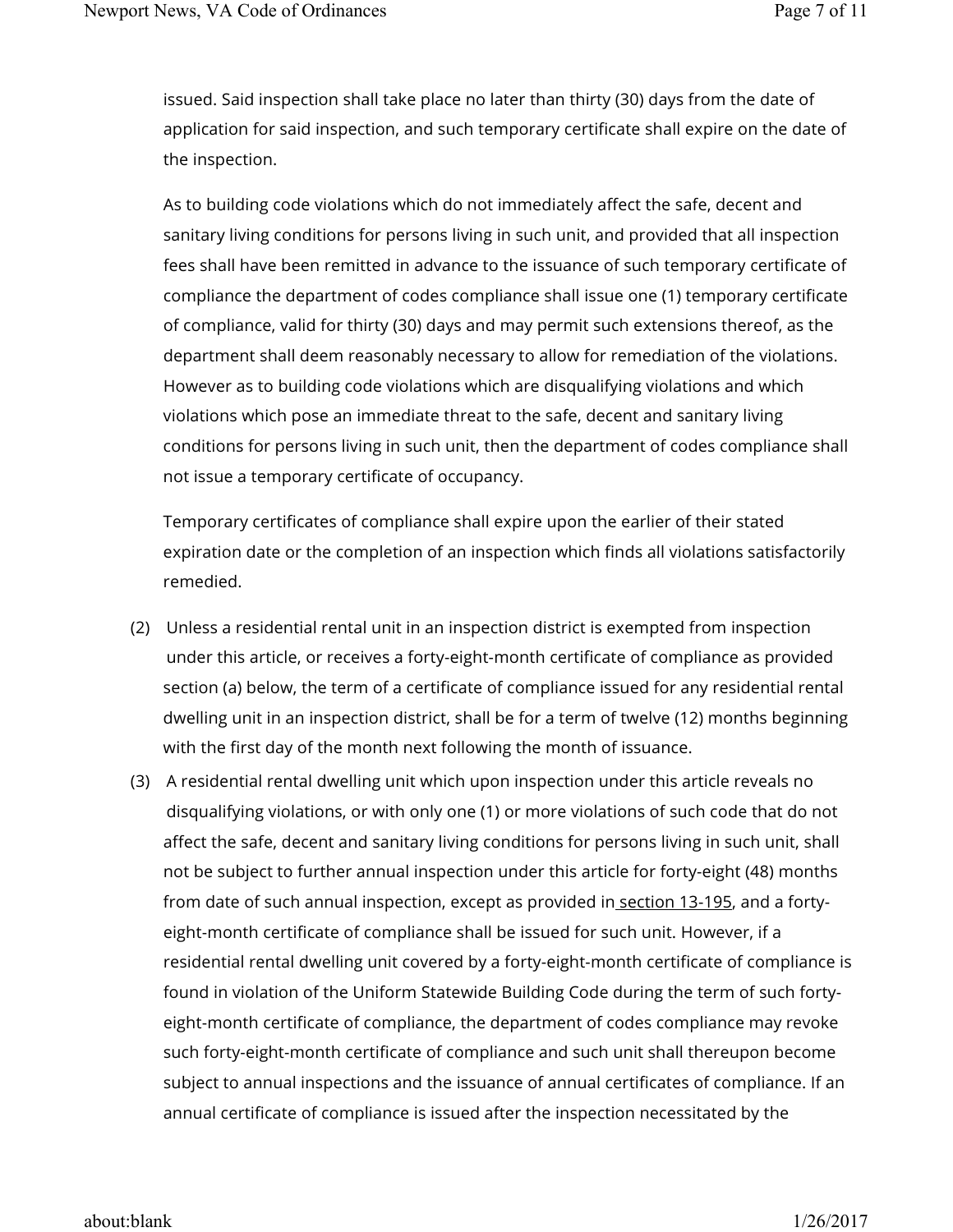issued. Said inspection shall take place no later than thirty (30) days from the date of application for said inspection, and such temporary certificate shall expire on the date of the inspection.

As to building code violations which do not immediately affect the safe, decent and sanitary living conditions for persons living in such unit, and provided that all inspection fees shall have been remitted in advance to the issuance of such temporary certificate of compliance the department of codes compliance shall issue one (1) temporary certificate of compliance, valid for thirty (30) days and may permit such extensions thereof, as the department shall deem reasonably necessary to allow for remediation of the violations. However as to building code violations which are disqualifying violations and which violations which pose an immediate threat to the safe, decent and sanitary living conditions for persons living in such unit, then the department of codes compliance shall not issue a temporary certificate of occupancy.

Temporary certificates of compliance shall expire upon the earlier of their stated expiration date or the completion of an inspection which finds all violations satisfactorily remedied.

- (2) Unless a residential rental unit in an inspection district is exempted from inspection under this article, or receives a forty-eight-month certificate of compliance as provided section (a) below, the term of a certificate of compliance issued for any residential rental dwelling unit in an inspection district, shall be for a term of twelve (12) months beginning with the first day of the month next following the month of issuance.
- (3) A residential rental dwelling unit which upon inspection under this article reveals no disqualifying violations, or with only one (1) or more violations of such code that do not affect the safe, decent and sanitary living conditions for persons living in such unit, shall not be subject to further annual inspection under this article for forty-eight (48) months from date of such annual inspection, except as provided in section 13-195, and a fortyeight-month certificate of compliance shall be issued for such unit. However, if a residential rental dwelling unit covered by a forty-eight-month certificate of compliance is found in violation of the Uniform Statewide Building Code during the term of such fortyeight-month certificate of compliance, the department of codes compliance may revoke such forty-eight-month certificate of compliance and such unit shall thereupon become subject to annual inspections and the issuance of annual certificates of compliance. If an annual certificate of compliance is issued after the inspection necessitated by the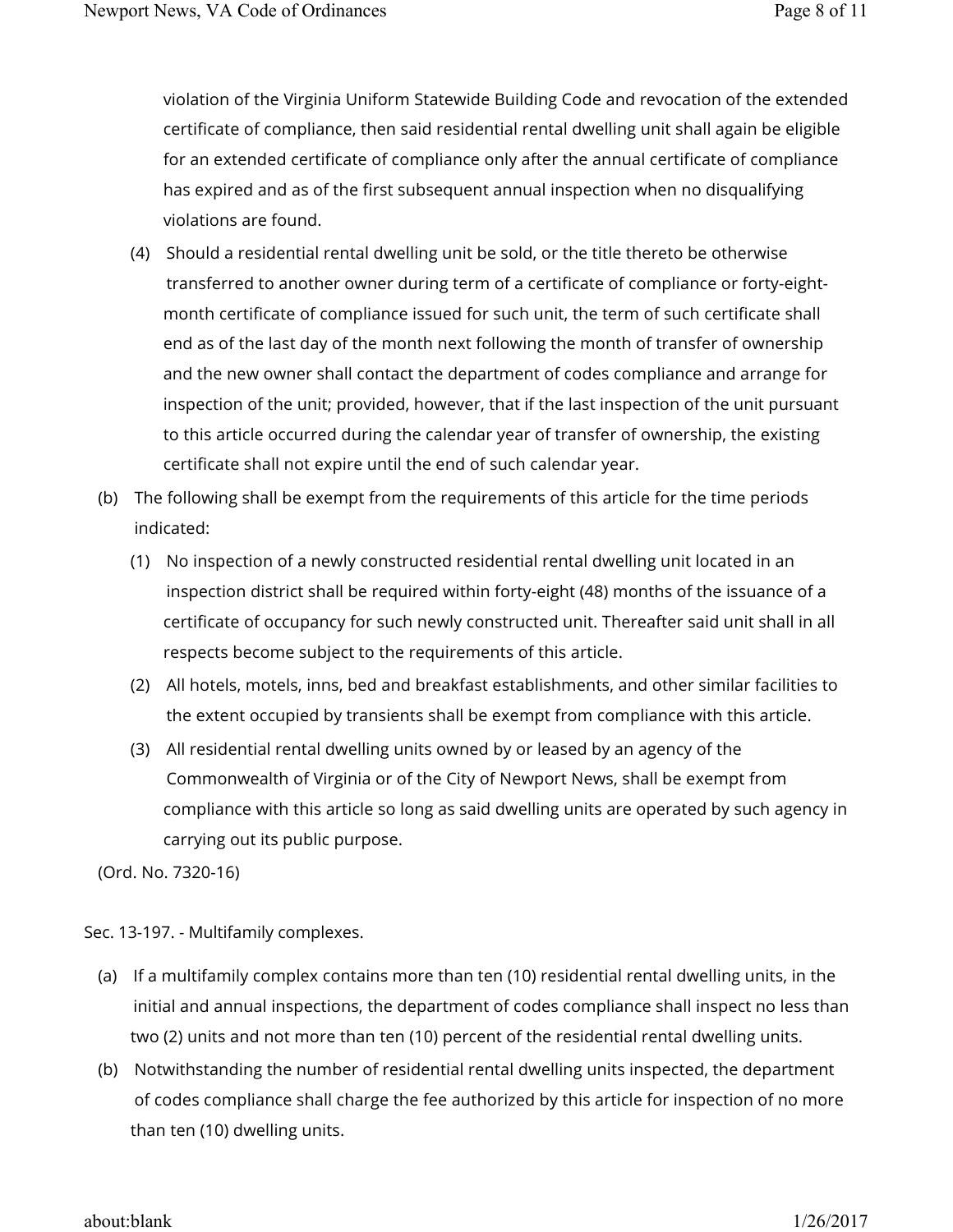violation of the Virginia Uniform Statewide Building Code and revocation of the extended certificate of compliance, then said residential rental dwelling unit shall again be eligible for an extended certificate of compliance only after the annual certificate of compliance has expired and as of the first subsequent annual inspection when no disqualifying violations are found.

- (4) Should a residential rental dwelling unit be sold, or the title thereto be otherwise transferred to another owner during term of a certificate of compliance or forty-eightmonth certificate of compliance issued for such unit, the term of such certificate shall end as of the last day of the month next following the month of transfer of ownership and the new owner shall contact the department of codes compliance and arrange for inspection of the unit; provided, however, that if the last inspection of the unit pursuant to this article occurred during the calendar year of transfer of ownership, the existing certificate shall not expire until the end of such calendar year.
- (b) The following shall be exempt from the requirements of this article for the time periods indicated:
	- (1) No inspection of a newly constructed residential rental dwelling unit located in an inspection district shall be required within forty-eight (48) months of the issuance of a certificate of occupancy for such newly constructed unit. Thereafter said unit shall in all respects become subject to the requirements of this article.
	- (2) All hotels, motels, inns, bed and breakfast establishments, and other similar facilities to the extent occupied by transients shall be exempt from compliance with this article.
	- (3) All residential rental dwelling units owned by or leased by an agency of the Commonwealth of Virginia or of the City of Newport News, shall be exempt from compliance with this article so long as said dwelling units are operated by such agency in carrying out its public purpose.

(Ord. No. 7320-16)

Sec. 13-197. - Multifamily complexes.

- (a) If a multifamily complex contains more than ten (10) residential rental dwelling units, in the initial and annual inspections, the department of codes compliance shall inspect no less than two (2) units and not more than ten (10) percent of the residential rental dwelling units.
- (b) Notwithstanding the number of residential rental dwelling units inspected, the department of codes compliance shall charge the fee authorized by this article for inspection of no more than ten (10) dwelling units.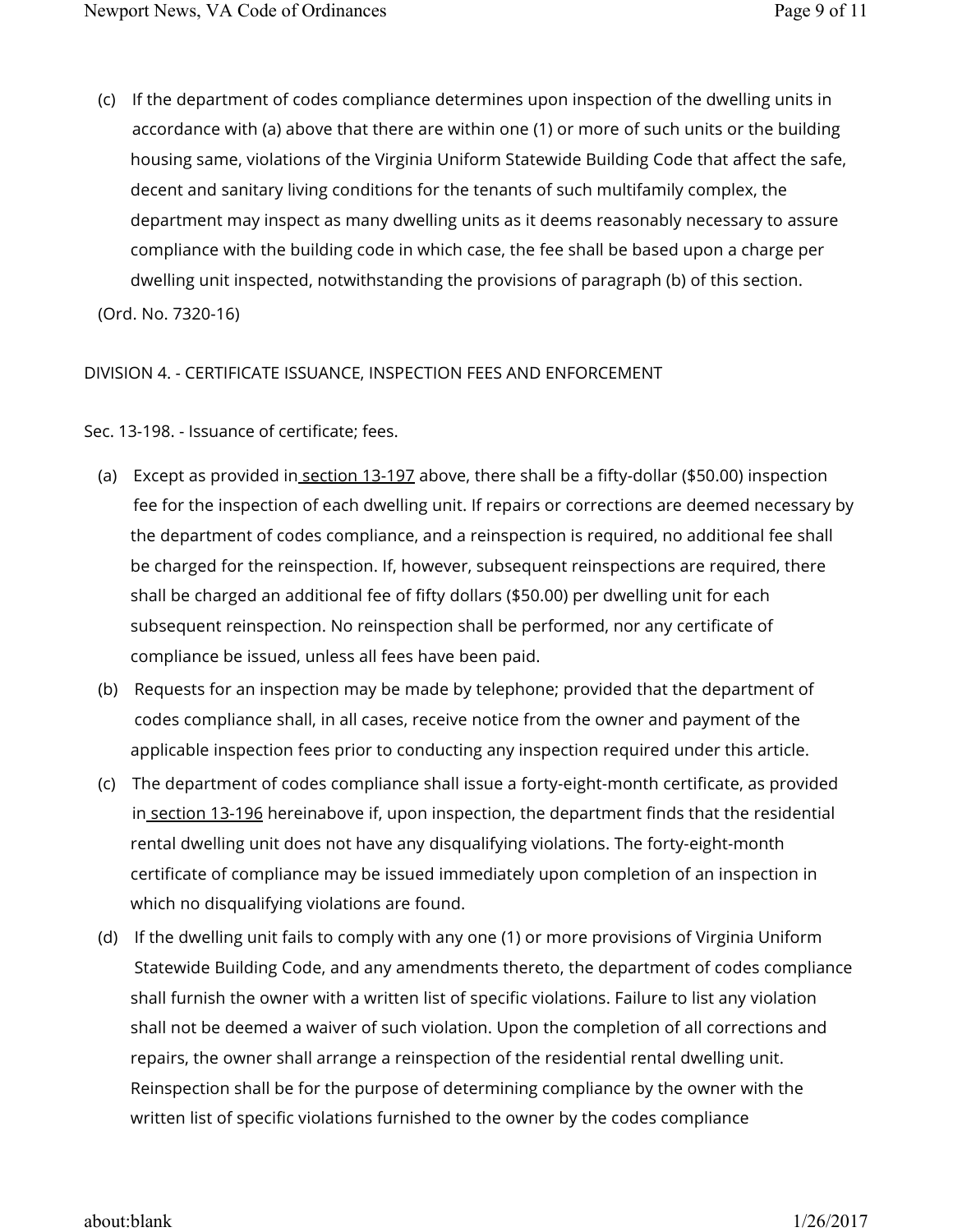(c) If the department of codes compliance determines upon inspection of the dwelling units in accordance with (a) above that there are within one (1) or more of such units or the building housing same, violations of the Virginia Uniform Statewide Building Code that affect the safe, decent and sanitary living conditions for the tenants of such multifamily complex, the department may inspect as many dwelling units as it deems reasonably necessary to assure compliance with the building code in which case, the fee shall be based upon a charge per dwelling unit inspected, notwithstanding the provisions of paragraph (b) of this section.

(Ord. No. 7320-16)

## DIVISION 4. - CERTIFICATE ISSUANCE, INSPECTION FEES AND ENFORCEMENT

Sec. 13-198. - Issuance of certificate; fees.

- (a) Except as provided in<u> section 13-197</u> above, there shall be a fifty-dollar (\$50.00) inspection fee for the inspection of each dwelling unit. If repairs or corrections are deemed necessary by the department of codes compliance, and a reinspection is required, no additional fee shall be charged for the reinspection. If, however, subsequent reinspections are required, there shall be charged an additional fee of fifty dollars (\$50.00) per dwelling unit for each subsequent reinspection. No reinspection shall be performed, nor any certificate of compliance be issued, unless all fees have been paid.
- (b) Requests for an inspection may be made by telephone; provided that the department of codes compliance shall, in all cases, receive notice from the owner and payment of the applicable inspection fees prior to conducting any inspection required under this article.
- (c) The department of codes compliance shall issue a forty-eight-month certificate, as provided in section 13-196 hereinabove if, upon inspection, the department finds that the residential rental dwelling unit does not have any disqualifying violations. The forty-eight-month certificate of compliance may be issued immediately upon completion of an inspection in which no disqualifying violations are found.
- (d) If the dwelling unit fails to comply with any one (1) or more provisions of Virginia Uniform Statewide Building Code, and any amendments thereto, the department of codes compliance shall furnish the owner with a written list of specific violations. Failure to list any violation shall not be deemed a waiver of such violation. Upon the completion of all corrections and repairs, the owner shall arrange a reinspection of the residential rental dwelling unit. Reinspection shall be for the purpose of determining compliance by the owner with the written list of specific violations furnished to the owner by the codes compliance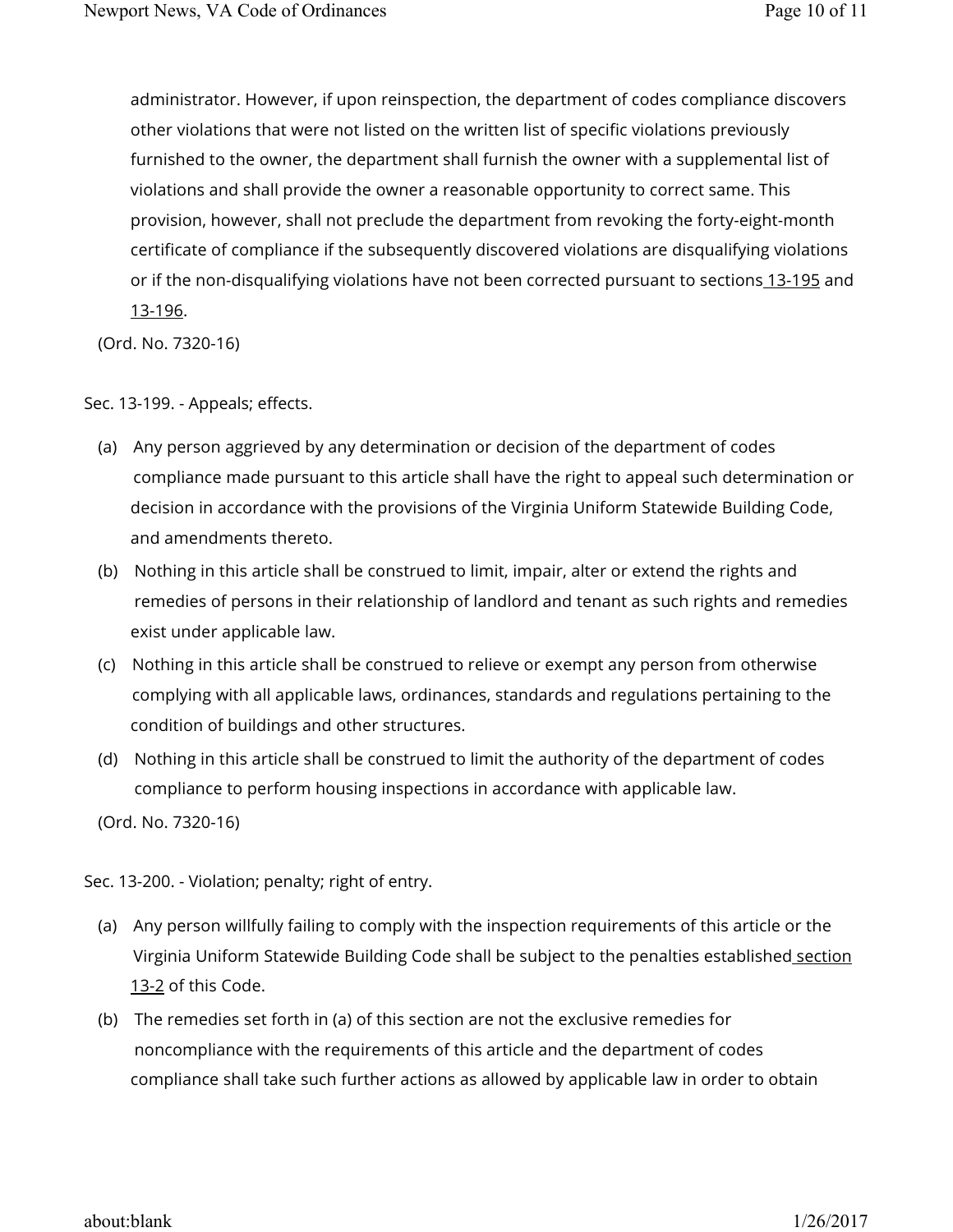administrator. However, if upon reinspection, the department of codes compliance discovers other violations that were not listed on the written list of specific violations previously furnished to the owner, the department shall furnish the owner with a supplemental list of violations and shall provide the owner a reasonable opportunity to correct same. This provision, however, shall not preclude the department from revoking the forty-eight-month certificate of compliance if the subsequently discovered violations are disqualifying violations or if the non-disqualifying violations have not been corrected pursuant to sections 13-195 and 13-196.

(Ord. No. 7320-16)

## Sec. 13-199. - Appeals; effects.

- (a) Any person aggrieved by any determination or decision of the department of codes compliance made pursuant to this article shall have the right to appeal such determination or decision in accordance with the provisions of the Virginia Uniform Statewide Building Code, and amendments thereto.
- (b) Nothing in this article shall be construed to limit, impair, alter or extend the rights and remedies of persons in their relationship of landlord and tenant as such rights and remedies exist under applicable law.
- (c) Nothing in this article shall be construed to relieve or exempt any person from otherwise complying with all applicable laws, ordinances, standards and regulations pertaining to the condition of buildings and other structures.
- (d) Nothing in this article shall be construed to limit the authority of the department of codes compliance to perform housing inspections in accordance with applicable law.

(Ord. No. 7320-16)

Sec. 13-200. - Violation; penalty; right of entry.

- (a) Any person willfully failing to comply with the inspection requirements of this article or the Virginia Uniform Statewide Building Code shall be subject to the penalties established section 13-2 of this Code.
- (b) The remedies set forth in (a) of this section are not the exclusive remedies for noncompliance with the requirements of this article and the department of codes compliance shall take such further actions as allowed by applicable law in order to obtain